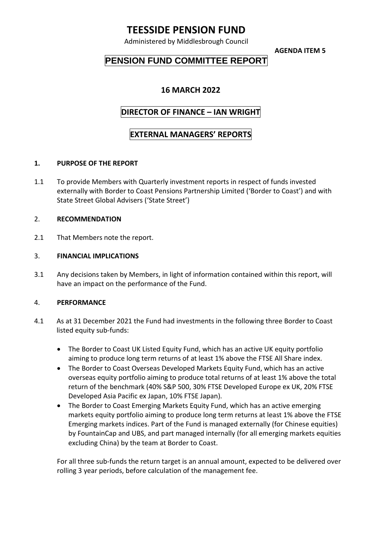# **TEESSIDE PENSION FUND**

Administered by Middlesbrough Council

**AGENDA ITEM 5**

## **PENSION FUND COMMITTEE REPORT**

### **16 MARCH 2022**

### **DIRECTOR OF FINANCE – IAN WRIGHT**

### **EXTERNAL MANAGERS' REPORTS**

#### **1. PURPOSE OF THE REPORT**

1.1 To provide Members with Quarterly investment reports in respect of funds invested externally with Border to Coast Pensions Partnership Limited ('Border to Coast') and with State Street Global Advisers ('State Street')

#### 2. **RECOMMENDATION**

2.1 That Members note the report.

#### 3. **FINANCIAL IMPLICATIONS**

3.1 Any decisions taken by Members, in light of information contained within this report, will have an impact on the performance of the Fund.

#### 4. **PERFORMANCE**

- 4.1 As at 31 December 2021 the Fund had investments in the following three Border to Coast listed equity sub-funds:
	- The Border to Coast UK Listed Equity Fund, which has an active UK equity portfolio aiming to produce long term returns of at least 1% above the FTSE All Share index.
	- The Border to Coast Overseas Developed Markets Equity Fund, which has an active overseas equity portfolio aiming to produce total returns of at least 1% above the total return of the benchmark (40% S&P 500, 30% FTSE Developed Europe ex UK, 20% FTSE Developed Asia Pacific ex Japan, 10% FTSE Japan).
	- The Border to Coast Emerging Markets Equity Fund, which has an active emerging markets equity portfolio aiming to produce long term returns at least 1% above the FTSE Emerging markets indices. Part of the Fund is managed externally (for Chinese equities) by FountainCap and UBS, and part managed internally (for all emerging markets equities excluding China) by the team at Border to Coast.

For all three sub-funds the return target is an annual amount, expected to be delivered over rolling 3 year periods, before calculation of the management fee.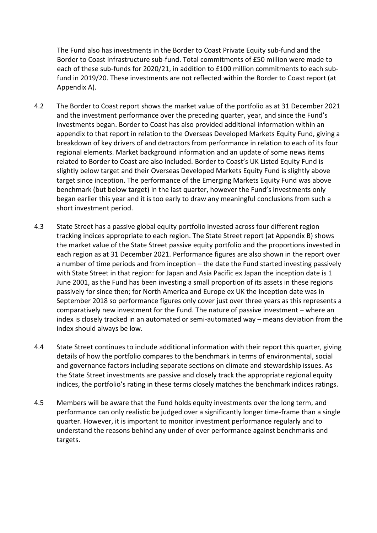The Fund also has investments in the Border to Coast Private Equity sub-fund and the Border to Coast Infrastructure sub-fund. Total commitments of £50 million were made to each of these sub-funds for 2020/21, in addition to £100 million commitments to each subfund in 2019/20. These investments are not reflected within the Border to Coast report (at Appendix A).

- 4.2 The Border to Coast report shows the market value of the portfolio as at 31 December 2021 and the investment performance over the preceding quarter, year, and since the Fund's investments began. Border to Coast has also provided additional information within an appendix to that report in relation to the Overseas Developed Markets Equity Fund, giving a breakdown of key drivers of and detractors from performance in relation to each of its four regional elements. Market background information and an update of some news items related to Border to Coast are also included. Border to Coast's UK Listed Equity Fund is slightly below target and their Overseas Developed Markets Equity Fund is slightly above target since inception. The performance of the Emerging Markets Equity Fund was above benchmark (but below target) in the last quarter, however the Fund's investments only began earlier this year and it is too early to draw any meaningful conclusions from such a short investment period.
- 4.3 State Street has a passive global equity portfolio invested across four different region tracking indices appropriate to each region. The State Street report (at Appendix B) shows the market value of the State Street passive equity portfolio and the proportions invested in each region as at 31 December 2021. Performance figures are also shown in the report over a number of time periods and from inception – the date the Fund started investing passively with State Street in that region: for Japan and Asia Pacific ex Japan the inception date is 1 June 2001, as the Fund has been investing a small proportion of its assets in these regions passively for since then; for North America and Europe ex UK the inception date was in September 2018 so performance figures only cover just over three years as this represents a comparatively new investment for the Fund. The nature of passive investment – where an index is closely tracked in an automated or semi-automated way – means deviation from the index should always be low.
- 4.4 State Street continues to include additional information with their report this quarter, giving details of how the portfolio compares to the benchmark in terms of environmental, social and governance factors including separate sections on climate and stewardship issues. As the State Street investments are passive and closely track the appropriate regional equity indices, the portfolio's rating in these terms closely matches the benchmark indices ratings.
- 4.5 Members will be aware that the Fund holds equity investments over the long term, and performance can only realistic be judged over a significantly longer time-frame than a single quarter. However, it is important to monitor investment performance regularly and to understand the reasons behind any under of over performance against benchmarks and targets.